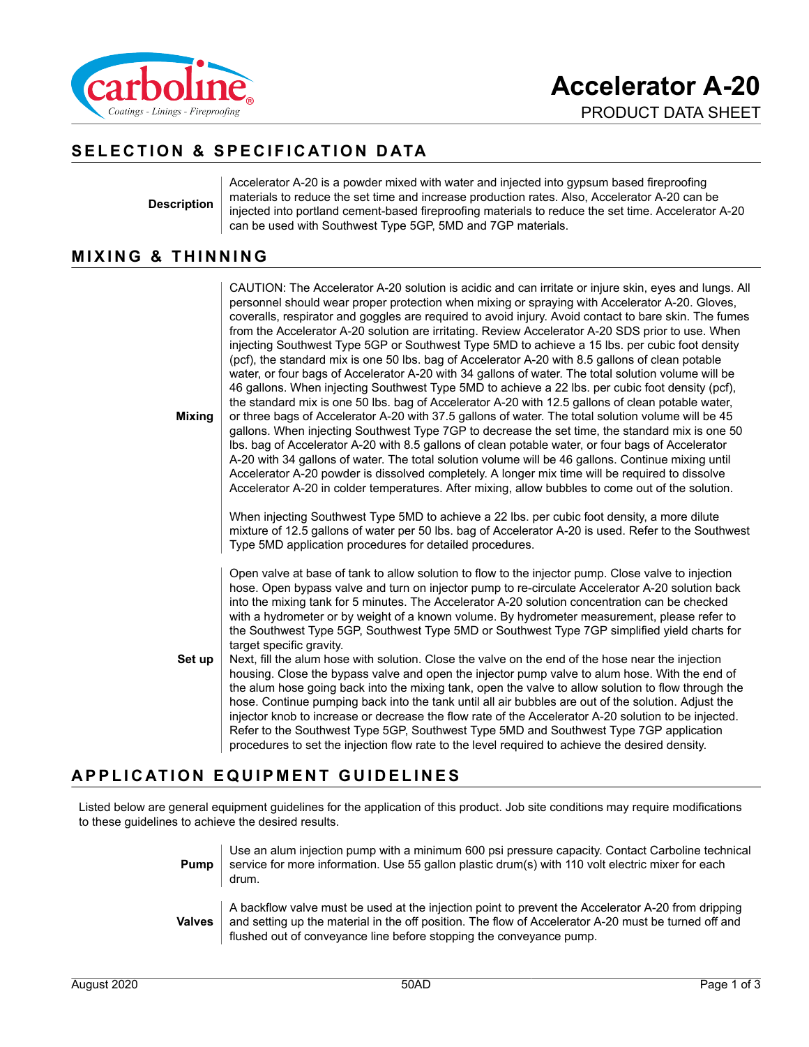

# **SELECTION & SPECIFICATION DATA**

**Description**

**Mixing**

Accelerator A-20 is a powder mixed with water and injected into gypsum based fireproofing materials to reduce the set time and increase production rates. Also, Accelerator A-20 can be injected into portland cement-based fireproofing materials to reduce the set time. Accelerator A-20 can be used with Southwest Type 5GP, 5MD and 7GP materials.

#### **MIXING & THINNING**

CAUTION: The Accelerator A-20 solution is acidic and can irritate or injure skin, eyes and lungs. All personnel should wear proper protection when mixing or spraying with Accelerator A-20. Gloves, coveralls, respirator and goggles are required to avoid injury. Avoid contact to bare skin. The fumes from the Accelerator A-20 solution are irritating. Review Accelerator A-20 SDS prior to use. When injecting Southwest Type 5GP or Southwest Type 5MD to achieve a 15 lbs. per cubic foot density (pcf), the standard mix is one 50 lbs. bag of Accelerator A-20 with 8.5 gallons of clean potable water, or four bags of Accelerator A-20 with 34 gallons of water. The total solution volume will be 46 gallons. When injecting Southwest Type 5MD to achieve a 22 lbs. per cubic foot density (pcf), the standard mix is one 50 lbs. bag of Accelerator A-20 with 12.5 gallons of clean potable water, or three bags of Accelerator A-20 with 37.5 gallons of water. The total solution volume will be 45 gallons. When injecting Southwest Type 7GP to decrease the set time, the standard mix is one 50 lbs. bag of Accelerator A-20 with 8.5 gallons of clean potable water, or four bags of Accelerator A-20 with 34 gallons of water. The total solution volume will be 46 gallons. Continue mixing until Accelerator A-20 powder is dissolved completely. A longer mix time will be required to dissolve Accelerator A-20 in colder temperatures. After mixing, allow bubbles to come out of the solution.

When injecting Southwest Type 5MD to achieve a 22 lbs. per cubic foot density, a more dilute mixture of 12.5 gallons of water per 50 lbs. bag of Accelerator A-20 is used. Refer to the Southwest Type 5MD application procedures for detailed procedures.

Open valve at base of tank to allow solution to flow to the injector pump. Close valve to injection hose. Open bypass valve and turn on injector pump to re-circulate Accelerator A-20 solution back into the mixing tank for 5 minutes. The Accelerator A-20 solution concentration can be checked with a hydrometer or by weight of a known volume. By hydrometer measurement, please refer to the Southwest Type 5GP, Southwest Type 5MD or Southwest Type 7GP simplified yield charts for target specific gravity.

**Set up** Next, fill the alum hose with solution. Close the valve on the end of the hose near the injection housing. Close the bypass valve and open the injector pump valve to alum hose. With the end of the alum hose going back into the mixing tank, open the valve to allow solution to flow through the hose. Continue pumping back into the tank until all air bubbles are out of the solution. Adjust the injector knob to increase or decrease the flow rate of the Accelerator A-20 solution to be injected. Refer to the Southwest Type 5GP, Southwest Type 5MD and Southwest Type 7GP application procedures to set the injection flow rate to the level required to achieve the desired density.

### **APPLICATION EQUIPMENT GUIDELINES**

Listed below are general equipment guidelines for the application of this product. Job site conditions may require modifications to these guidelines to achieve the desired results.

> **Pump** Use an alum injection pump with a minimum 600 psi pressure capacity. Contact Carboline technical service for more information. Use 55 gallon plastic drum(s) with 110 volt electric mixer for each drum. **Valves** A backflow valve must be used at the injection point to prevent the Accelerator A-20 from dripping and setting up the material in the off position. The flow of Accelerator A-20 must be turned off and flushed out of conveyance line before stopping the conveyance pump.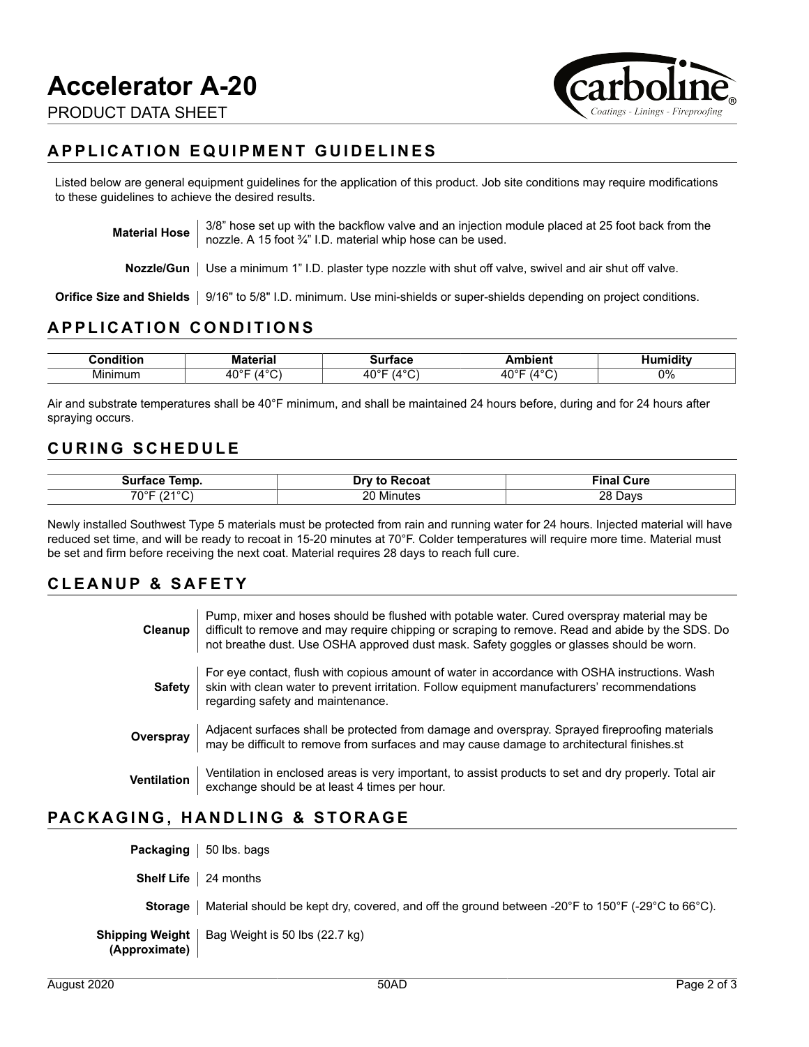

### **APPLICATION EQUIPMENT GUIDELINES**

Listed below are general equipment guidelines for the application of this product. Job site conditions may require modifications to these guidelines to achieve the desired results.

**Material Hose**  $\begin{bmatrix} 3/8 \\ 0 \end{bmatrix}$  hose set up with the backflow valve and an injection module placed at 25 foot back from the nozzle. A 15 foot ¾" I.D. material whip hose can be used.

**Nozzle/Gun** Use a minimum 1" I.D. plaster type nozzle with shut off valve, swivel and air shut off valve.

**Orifice Size and Shields** | 9/16" to 5/8" I.D. minimum. Use mini-shields or super-shields depending on project conditions.

### **APPLICATION CONDITIONS**

| .<br>. | M<br>.          | _ _ _ _ _                                  |                      |    |
|--------|-----------------|--------------------------------------------|----------------------|----|
| . .    | <b>O</b><br>___ | $\sim$<br>⊿∩∘″<br>$\overline{\phantom{a}}$ | $\sim$ $\sim$ $\sim$ | 0% |

Air and substrate temperatures shall be 40°F minimum, and shall be maintained 24 hours before, during and for 24 hours after spraying occurs.

#### **CURING SCHEDULE**

| $  -$<br>əur<br>emo<br>писе | $-0.000$<br>∵∪a.         | Cure<br>iiid       |
|-----------------------------|--------------------------|--------------------|
| $\sqrt{2}$<br>7∩°⊏          | --<br>oc<br>Minutes<br>. | ററ<br>)avs<br>____ |

Newly installed Southwest Type 5 materials must be protected from rain and running water for 24 hours. Injected material will have reduced set time, and will be ready to recoat in 15-20 minutes at 70°F. Colder temperatures will require more time. Material must be set and firm before receiving the next coat. Material requires 28 days to reach full cure.

### **CLEANUP & SAFETY**

| Cleanup            | Pump, mixer and hoses should be flushed with potable water. Cured overspray material may be<br>difficult to remove and may require chipping or scraping to remove. Read and abide by the SDS. Do<br>not breathe dust. Use OSHA approved dust mask. Safety goggles or glasses should be worn. |
|--------------------|----------------------------------------------------------------------------------------------------------------------------------------------------------------------------------------------------------------------------------------------------------------------------------------------|
| <b>Safety</b>      | For eye contact, flush with copious amount of water in accordance with OSHA instructions. Wash<br>skin with clean water to prevent irritation. Follow equipment manufacturers' recommendations<br>regarding safety and maintenance.                                                          |
| Overspray          | Adjacent surfaces shall be protected from damage and overspray. Sprayed fireproofing materials<br>may be difficult to remove from surfaces and may cause damage to architectural finishes.st                                                                                                 |
| <b>Ventilation</b> | Ventilation in enclosed areas is very important, to assist products to set and dry properly. Total air<br>exchange should be at least 4 times per hour.                                                                                                                                      |

### **PACKAGING, HANDLING & STORAGE**

| <b>Packaging</b>   50 lbs. bags     |                                                                                                                                          |
|-------------------------------------|------------------------------------------------------------------------------------------------------------------------------------------|
| <b>Shelf Life</b> $\vert$ 24 months |                                                                                                                                          |
| <b>Storage</b>                      | Material should be kept dry, covered, and off the ground between -20 $\degree$ F to 150 $\degree$ F (-29 $\degree$ C to 66 $\degree$ C). |
| Shipping Weight<br>(Approximate)    | Bag Weight is 50 lbs (22.7 kg)                                                                                                           |